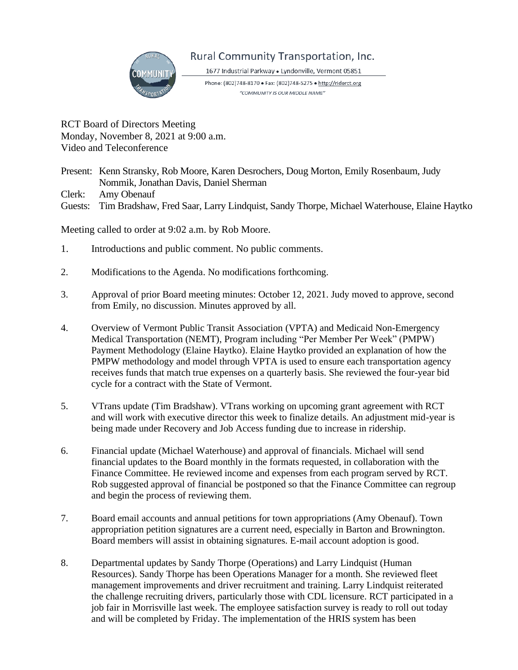

## Rural Community Transportation, Inc.

1677 Industrial Parkway · Lyndonville, Vermont 05851

Phone: (802)748-8170 · Fax: (802)748-5275 · http://riderct.org "COMMUNITY IS OUR MIDDLE NAME"

RCT Board of Directors Meeting Monday, November 8, 2021 at 9:00 a.m. Video and Teleconference

Present: Kenn Stransky, Rob Moore, Karen Desrochers, Doug Morton, Emily Rosenbaum, Judy Nommik, Jonathan Davis, Daniel Sherman

Clerk: Amy Obenauf

Guests: Tim Bradshaw, Fred Saar, Larry Lindquist, Sandy Thorpe, Michael Waterhouse, Elaine Haytko

Meeting called to order at 9:02 a.m. by Rob Moore.

- 1. Introductions and public comment. No public comments.
- 2. Modifications to the Agenda. No modifications forthcoming.
- 3. Approval of prior Board meeting minutes: October 12, 2021. Judy moved to approve, second from Emily, no discussion. Minutes approved by all.
- 4. Overview of Vermont Public Transit Association (VPTA) and Medicaid Non-Emergency Medical Transportation (NEMT), Program including "Per Member Per Week" (PMPW) Payment Methodology (Elaine Haytko). Elaine Haytko provided an explanation of how the PMPW methodology and model through VPTA is used to ensure each transportation agency receives funds that match true expenses on a quarterly basis. She reviewed the four-year bid cycle for a contract with the State of Vermont.
- 5. VTrans update (Tim Bradshaw). VTrans working on upcoming grant agreement with RCT and will work with executive director this week to finalize details. An adjustment mid-year is being made under Recovery and Job Access funding due to increase in ridership.
- 6. Financial update (Michael Waterhouse) and approval of financials. Michael will send financial updates to the Board monthly in the formats requested, in collaboration with the Finance Committee. He reviewed income and expenses from each program served by RCT. Rob suggested approval of financial be postponed so that the Finance Committee can regroup and begin the process of reviewing them.
- 7. Board email accounts and annual petitions for town appropriations (Amy Obenauf). Town appropriation petition signatures are a current need, especially in Barton and Brownington. Board members will assist in obtaining signatures. E-mail account adoption is good.
- 8. Departmental updates by Sandy Thorpe (Operations) and Larry Lindquist (Human Resources). Sandy Thorpe has been Operations Manager for a month. She reviewed fleet management improvements and driver recruitment and training. Larry Lindquist reiterated the challenge recruiting drivers, particularly those with CDL licensure. RCT participated in a job fair in Morrisville last week. The employee satisfaction survey is ready to roll out today and will be completed by Friday. The implementation of the HRIS system has been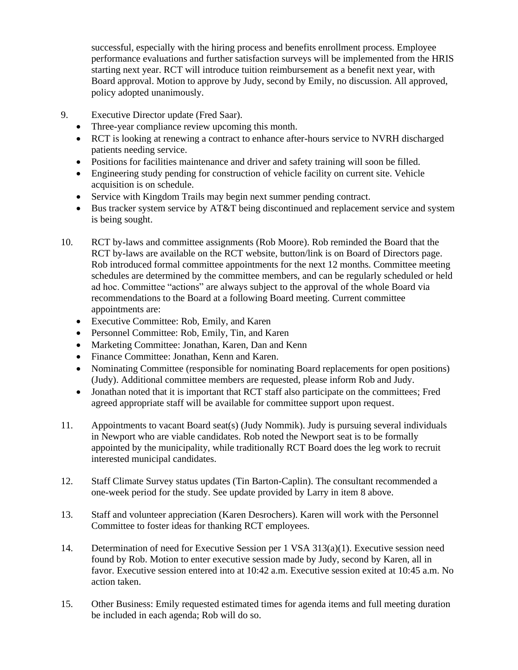successful, especially with the hiring process and benefits enrollment process. Employee performance evaluations and further satisfaction surveys will be implemented from the HRIS starting next year. RCT will introduce tuition reimbursement as a benefit next year, with Board approval. Motion to approve by Judy, second by Emily, no discussion. All approved, policy adopted unanimously.

- 9. Executive Director update (Fred Saar).
	- Three-year compliance review upcoming this month.
	- RCT is looking at renewing a contract to enhance after-hours service to NVRH discharged patients needing service.
	- Positions for facilities maintenance and driver and safety training will soon be filled.
	- Engineering study pending for construction of vehicle facility on current site. Vehicle acquisition is on schedule.
	- Service with Kingdom Trails may begin next summer pending contract.
	- Bus tracker system service by AT&T being discontinued and replacement service and system is being sought.
- 10. RCT by-laws and committee assignments (Rob Moore). Rob reminded the Board that the RCT by-laws are available on the RCT website, button/link is on Board of Directors page. Rob introduced formal committee appointments for the next 12 months. Committee meeting schedules are determined by the committee members, and can be regularly scheduled or held ad hoc. Committee "actions" are always subject to the approval of the whole Board via recommendations to the Board at a following Board meeting. Current committee appointments are:
	- Executive Committee: Rob, Emily, and Karen
	- Personnel Committee: Rob, Emily, Tin, and Karen
	- Marketing Committee: Jonathan, Karen, Dan and Kenn
	- Finance Committee: Jonathan, Kenn and Karen.
	- Nominating Committee (responsible for nominating Board replacements for open positions) (Judy). Additional committee members are requested, please inform Rob and Judy.
	- Jonathan noted that it is important that RCT staff also participate on the committees; Fred agreed appropriate staff will be available for committee support upon request.
- 11. Appointments to vacant Board seat(s) (Judy Nommik). Judy is pursuing several individuals in Newport who are viable candidates. Rob noted the Newport seat is to be formally appointed by the municipality, while traditionally RCT Board does the leg work to recruit interested municipal candidates.
- 12. Staff Climate Survey status updates (Tin Barton-Caplin). The consultant recommended a one-week period for the study. See update provided by Larry in item 8 above.
- 13. Staff and volunteer appreciation (Karen Desrochers). Karen will work with the Personnel Committee to foster ideas for thanking RCT employees.
- 14. Determination of need for Executive Session per 1 VSA 313(a)(1). Executive session need found by Rob. Motion to enter executive session made by Judy, second by Karen, all in favor. Executive session entered into at 10:42 a.m. Executive session exited at 10:45 a.m. No action taken.
- 15. Other Business: Emily requested estimated times for agenda items and full meeting duration be included in each agenda; Rob will do so.